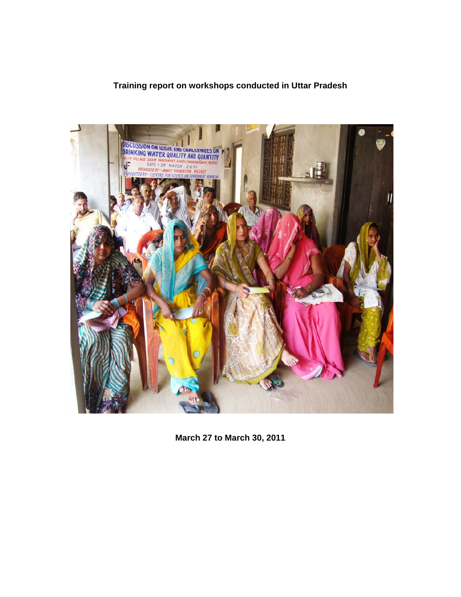### **Training report on workshops conducted in Uttar Pradesh**



**March 27 to March 30, 2011**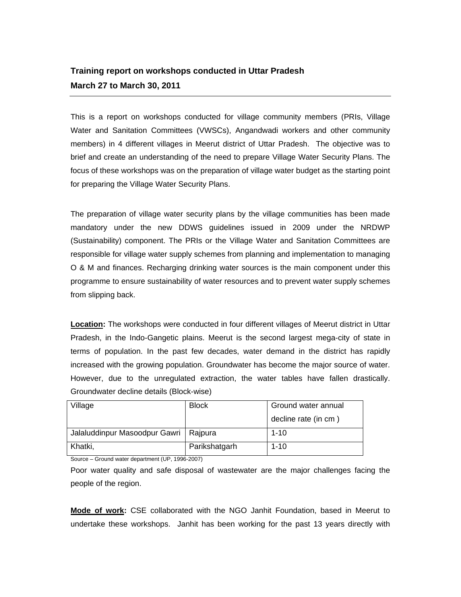## **Training report on workshops conducted in Uttar Pradesh March 27 to March 30, 2011**

This is a report on workshops conducted for village community members (PRIs, Village Water and Sanitation Committees (VWSCs), Angandwadi workers and other community members) in 4 different villages in Meerut district of Uttar Pradesh. The objective was to brief and create an understanding of the need to prepare Village Water Security Plans. The focus of these workshops was on the preparation of village water budget as the starting point for preparing the Village Water Security Plans.

The preparation of village water security plans by the village communities has been made mandatory under the new DDWS guidelines issued in 2009 under the NRDWP (Sustainability) component. The PRIs or the Village Water and Sanitation Committees are responsible for village water supply schemes from planning and implementation to managing O & M and finances. Recharging drinking water sources is the main component under this programme to ensure sustainability of water resources and to prevent water supply schemes from slipping back.

**Location:** The workshops were conducted in four different villages of Meerut district in Uttar Pradesh, in the Indo-Gangetic plains. Meerut is the second largest mega-city of state in terms of population. In the past few decades, water demand in the district has rapidly increased with the growing population. Groundwater has become the major source of water. However, due to the unregulated extraction, the water tables have fallen drastically. Groundwater decline details (Block-wise)

| Village                       | <b>Block</b>  | Ground water annual  |
|-------------------------------|---------------|----------------------|
|                               |               | decline rate (in cm) |
| Jalaluddinpur Masoodpur Gawri | Rajpura       | $1 - 10$             |
| Khatki,                       | Parikshatgarh | $1 - 10$             |

Source – Ground water department (UP, 1996-2007)

Poor water quality and safe disposal of wastewater are the major challenges facing the people of the region.

**Mode of work:** CSE collaborated with the NGO Janhit Foundation, based in Meerut to undertake these workshops. Janhit has been working for the past 13 years directly with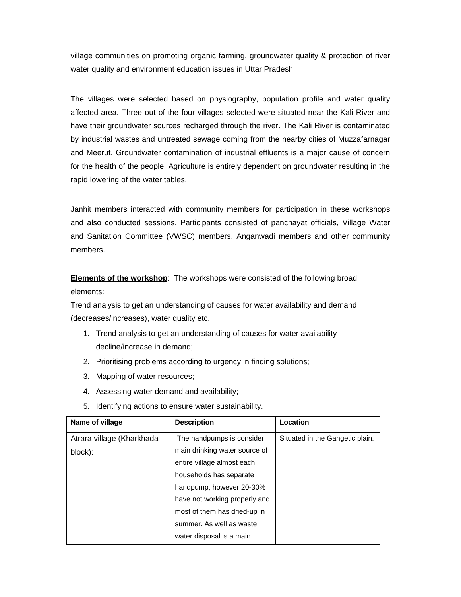village communities on promoting organic farming, groundwater quality & protection of river water quality and environment education issues in Uttar Pradesh.

The villages were selected based on physiography, population profile and water quality affected area. Three out of the four villages selected were situated near the Kali River and have their groundwater sources recharged through the river. The Kali River is contaminated by industrial wastes and untreated sewage coming from the nearby cities of Muzzafarnagar and Meerut. Groundwater contamination of industrial effluents is a major cause of concern for the health of the people. Agriculture is entirely dependent on groundwater resulting in the rapid lowering of the water tables.

Janhit members interacted with community members for participation in these workshops and also conducted sessions. Participants consisted of panchayat officials, Village Water and Sanitation Committee (VWSC) members, Anganwadi members and other community members.

**Elements of the workshop**: The workshops were consisted of the following broad elements:

Trend analysis to get an understanding of causes for water availability and demand (decreases/increases), water quality etc.

- 1. Trend analysis to get an understanding of causes for water availability decline/increase in demand;
- 2. Prioritising problems according to urgency in finding solutions;
- 3. Mapping of water resources;
- 4. Assessing water demand and availability;
- 5. Identifying actions to ensure water sustainability.

| Name of village           | <b>Description</b>            | Location                        |
|---------------------------|-------------------------------|---------------------------------|
| Atrara village (Kharkhada | The handpumps is consider     | Situated in the Gangetic plain. |
| block):                   | main drinking water source of |                                 |
|                           | entire village almost each    |                                 |
|                           | households has separate       |                                 |
|                           | handpump, however 20-30%      |                                 |
|                           | have not working properly and |                                 |
|                           | most of them has dried-up in  |                                 |
|                           | summer. As well as waste      |                                 |
|                           | water disposal is a main      |                                 |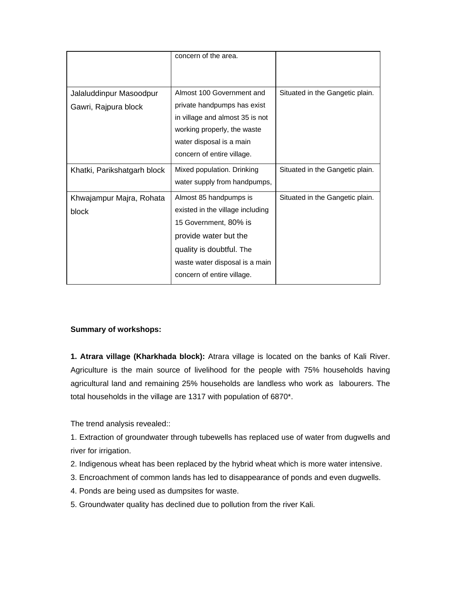|                             | concern of the area.             |                                 |
|-----------------------------|----------------------------------|---------------------------------|
|                             |                                  |                                 |
|                             |                                  |                                 |
| Jalaluddinpur Masoodpur     | Almost 100 Government and        | Situated in the Gangetic plain. |
| Gawri, Rajpura block        | private handpumps has exist      |                                 |
|                             | in village and almost 35 is not  |                                 |
|                             | working properly, the waste      |                                 |
|                             | water disposal is a main         |                                 |
|                             | concern of entire village.       |                                 |
| Khatki, Parikshatgarh block | Mixed population. Drinking       | Situated in the Gangetic plain. |
|                             | water supply from handpumps,     |                                 |
| Khwajampur Majra, Rohata    | Almost 85 handpumps is           | Situated in the Gangetic plain. |
| block                       | existed in the village including |                                 |
|                             | 15 Government, 80% is            |                                 |
|                             | provide water but the            |                                 |
|                             | quality is doubtful. The         |                                 |
|                             | waste water disposal is a main   |                                 |
|                             | concern of entire village.       |                                 |

### **Summary of workshops:**

**1. Atrara village (Kharkhada block):** Atrara village is located on the banks of Kali River. Agriculture is the main source of livelihood for the people with 75% households having agricultural land and remaining 25% households are landless who work as labourers. The total households in the village are 1317 with population of 6870\*.

The trend analysis revealed::

1. Extraction of groundwater through tubewells has replaced use of water from dugwells and river for irrigation.

- 2. Indigenous wheat has been replaced by the hybrid wheat which is more water intensive.
- 3. Encroachment of common lands has led to disappearance of ponds and even dugwells.
- 4. Ponds are being used as dumpsites for waste.
- 5. Groundwater quality has declined due to pollution from the river Kali.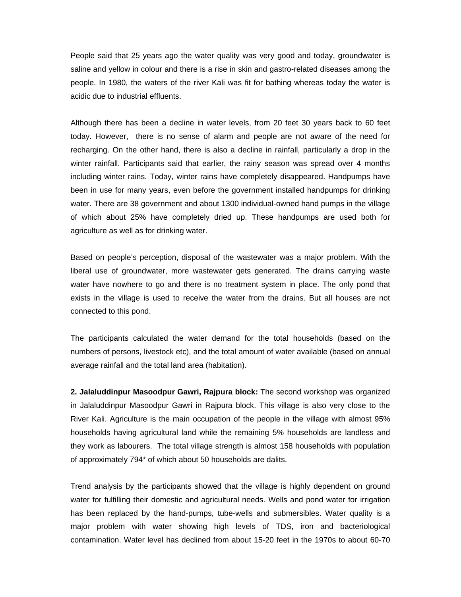People said that 25 years ago the water quality was very good and today, groundwater is saline and yellow in colour and there is a rise in skin and gastro-related diseases among the people. In 1980, the waters of the river Kali was fit for bathing whereas today the water is acidic due to industrial effluents.

Although there has been a decline in water levels, from 20 feet 30 years back to 60 feet today. However, there is no sense of alarm and people are not aware of the need for recharging. On the other hand, there is also a decline in rainfall, particularly a drop in the winter rainfall. Participants said that earlier, the rainy season was spread over 4 months including winter rains. Today, winter rains have completely disappeared. Handpumps have been in use for many years, even before the government installed handpumps for drinking water. There are 38 government and about 1300 individual-owned hand pumps in the village of which about 25% have completely dried up. These handpumps are used both for agriculture as well as for drinking water.

Based on people's perception, disposal of the wastewater was a major problem. With the liberal use of groundwater, more wastewater gets generated. The drains carrying waste water have nowhere to go and there is no treatment system in place. The only pond that exists in the village is used to receive the water from the drains. But all houses are not connected to this pond.

The participants calculated the water demand for the total households (based on the numbers of persons, livestock etc), and the total amount of water available (based on annual average rainfall and the total land area (habitation).

**2. Jalaluddinpur Masoodpur Gawri, Rajpura block:** The second workshop was organized in Jalaluddinpur Masoodpur Gawri in Rajpura block. This village is also very close to the River Kali. Agriculture is the main occupation of the people in the village with almost 95% households having agricultural land while the remaining 5% households are landless and they work as labourers. The total village strength is almost 158 households with population of approximately 794\* of which about 50 households are dalits.

Trend analysis by the participants showed that the village is highly dependent on ground water for fulfilling their domestic and agricultural needs. Wells and pond water for irrigation has been replaced by the hand-pumps, tube-wells and submersibles. Water quality is a major problem with water showing high levels of TDS, iron and bacteriological contamination. Water level has declined from about 15-20 feet in the 1970s to about 60-70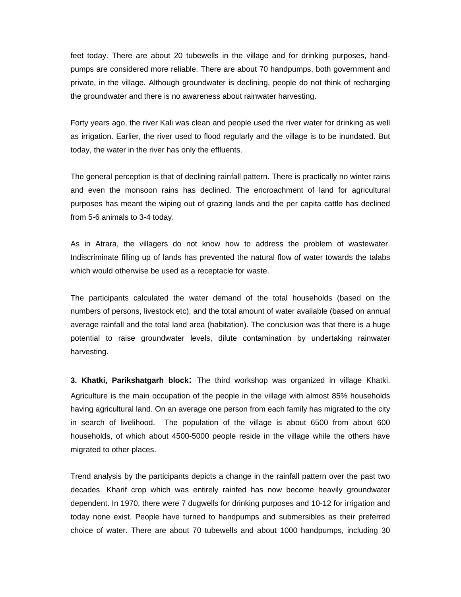feet today. There are about 20 tubewells in the village and for drinking purposes, handpumps are considered more reliable. There are about 70 handpumps, both government and private, in the village. Although groundwater is declining, people do not think of recharging the groundwater and there is no awareness about rainwater harvesting.

Forty years ago, the river Kali was clean and people used the river water for drinking as well as irrigation. Earlier, the river used to flood regularly and the village is to be inundated. But today, the water in the river has only the effluents.

The general perception is that of declining rainfall pattern. There is practically no winter rains and even the monsoon rains has declined. The encroachment of land for agricultural purposes has meant the wiping out of grazing lands and the per capita cattle has declined from 5-6 animals to 3-4 today.

As in Atrara, the villagers do not know how to address the problem of wastewater. Indiscriminate filling up of lands has prevented the natural flow of water towards the talabs which would otherwise be used as a receptacle for waste.

The participants calculated the water demand of the total households (based on the numbers of persons, livestock etc), and the total amount of water available (based on annual average rainfall and the total land area (habitation). The conclusion was that there is a huge potential to raise groundwater levels, dilute contamination by undertaking rainwater harvesting.

**3. Khatki, Parikshatgarh block:** The third workshop was organized in village Khatki. Agriculture is the main occupation of the people in the village with almost 85% households having agricultural land. On an average one person from each family has migrated to the city in search of livelihood. The population of the village is about 6500 from about 600 households, of which about 4500-5000 people reside in the village while the others have migrated to other places.

Trend analysis by the participants depicts a change in the rainfall pattern over the past two decades. Kharif crop which was entirely rainfed has now become heavily groundwater dependent. In 1970, there were 7 dugwells for drinking purposes and 10-12 for irrigation and today none exist. People have turned to handpumps and submersibles as their preferred choice of water. There are about 70 tubewells and about 1000 handpumps, including 30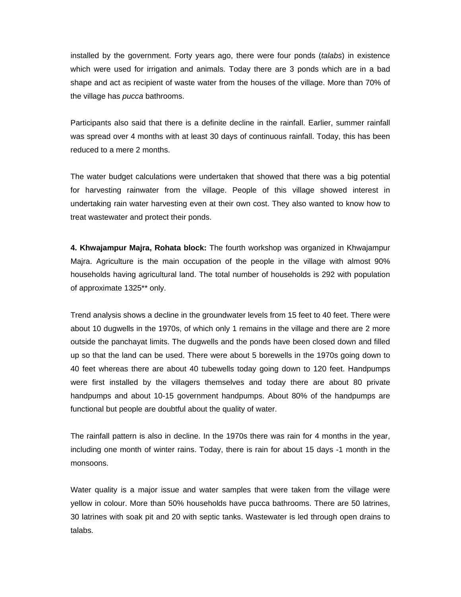installed by the government. Forty years ago, there were four ponds (*talabs*) in existence which were used for irrigation and animals. Today there are 3 ponds which are in a bad shape and act as recipient of waste water from the houses of the village. More than 70% of the village has *pucca* bathrooms.

Participants also said that there is a definite decline in the rainfall. Earlier, summer rainfall was spread over 4 months with at least 30 days of continuous rainfall. Today, this has been reduced to a mere 2 months.

The water budget calculations were undertaken that showed that there was a big potential for harvesting rainwater from the village. People of this village showed interest in undertaking rain water harvesting even at their own cost. They also wanted to know how to treat wastewater and protect their ponds.

**4. Khwajampur Majra, Rohata block:** The fourth workshop was organized in Khwajampur Majra. Agriculture is the main occupation of the people in the village with almost 90% households having agricultural land. The total number of households is 292 with population of approximate 1325\*\* only.

Trend analysis shows a decline in the groundwater levels from 15 feet to 40 feet. There were about 10 dugwells in the 1970s, of which only 1 remains in the village and there are 2 more outside the panchayat limits. The dugwells and the ponds have been closed down and filled up so that the land can be used. There were about 5 borewells in the 1970s going down to 40 feet whereas there are about 40 tubewells today going down to 120 feet. Handpumps were first installed by the villagers themselves and today there are about 80 private handpumps and about 10-15 government handpumps. About 80% of the handpumps are functional but people are doubtful about the quality of water.

The rainfall pattern is also in decline. In the 1970s there was rain for 4 months in the year, including one month of winter rains. Today, there is rain for about 15 days -1 month in the monsoons.

Water quality is a major issue and water samples that were taken from the village were yellow in colour. More than 50% households have pucca bathrooms. There are 50 latrines, 30 latrines with soak pit and 20 with septic tanks. Wastewater is led through open drains to talabs.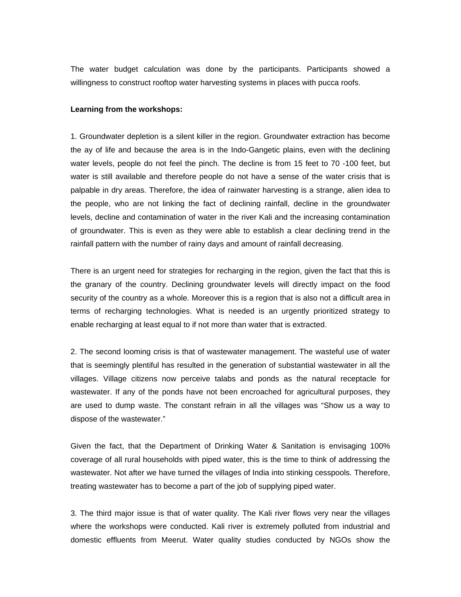The water budget calculation was done by the participants. Participants showed a willingness to construct rooftop water harvesting systems in places with pucca roofs.

#### **Learning from the workshops:**

1. Groundwater depletion is a silent killer in the region. Groundwater extraction has become the ay of life and because the area is in the Indo-Gangetic plains, even with the declining water levels, people do not feel the pinch. The decline is from 15 feet to 70 -100 feet, but water is still available and therefore people do not have a sense of the water crisis that is palpable in dry areas. Therefore, the idea of rainwater harvesting is a strange, alien idea to the people, who are not linking the fact of declining rainfall, decline in the groundwater levels, decline and contamination of water in the river Kali and the increasing contamination of groundwater. This is even as they were able to establish a clear declining trend in the rainfall pattern with the number of rainy days and amount of rainfall decreasing.

There is an urgent need for strategies for recharging in the region, given the fact that this is the granary of the country. Declining groundwater levels will directly impact on the food security of the country as a whole. Moreover this is a region that is also not a difficult area in terms of recharging technologies. What is needed is an urgently prioritized strategy to enable recharging at least equal to if not more than water that is extracted.

2. The second looming crisis is that of wastewater management. The wasteful use of water that is seemingly plentiful has resulted in the generation of substantial wastewater in all the villages. Village citizens now perceive talabs and ponds as the natural receptacle for wastewater. If any of the ponds have not been encroached for agricultural purposes, they are used to dump waste. The constant refrain in all the villages was "Show us a way to dispose of the wastewater."

Given the fact, that the Department of Drinking Water & Sanitation is envisaging 100% coverage of all rural households with piped water, this is the time to think of addressing the wastewater. Not after we have turned the villages of India into stinking cesspools. Therefore, treating wastewater has to become a part of the job of supplying piped water.

3. The third major issue is that of water quality. The Kali river flows very near the villages where the workshops were conducted. Kali river is extremely polluted from industrial and domestic effluents from Meerut. Water quality studies conducted by NGOs show the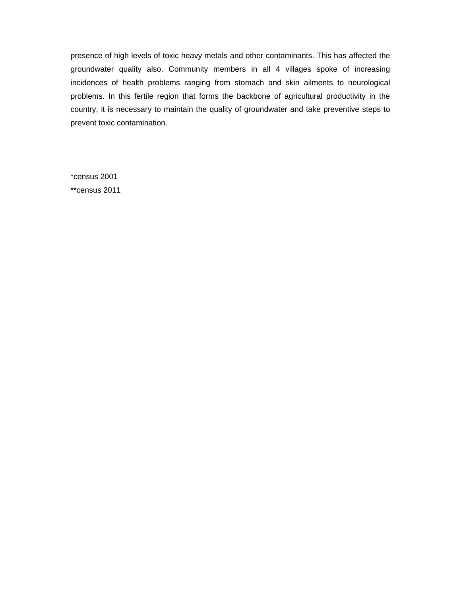presence of high levels of toxic heavy metals and other contaminants. This has affected the groundwater quality also. Community members in all 4 villages spoke of increasing incidences of health problems ranging from stomach and skin ailments to neurological problems. In this fertile region that forms the backbone of agricultural productivity in the country, it is necessary to maintain the quality of groundwater and take preventive steps to prevent toxic contamination.

\*census 2001 \*\*census 2011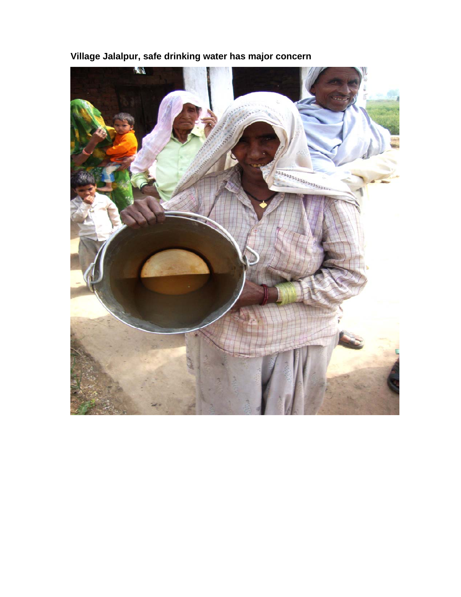

**Village Jalalpur, safe drinking water has major concern**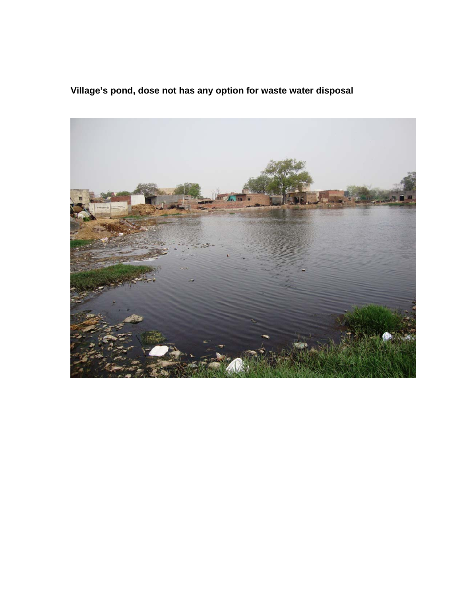**Village's pond, dose not has any option for waste water disposal** 

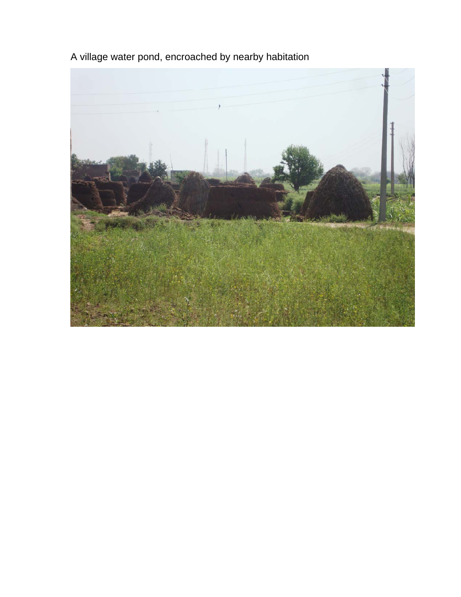A village water pond, encroached by nearby habitation

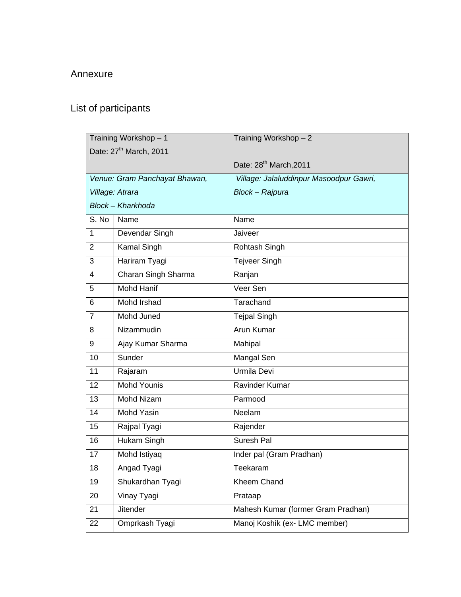### Annexure

# List of participants

|                | Training Workshop - 1              | Training Workshop - 2                   |
|----------------|------------------------------------|-----------------------------------------|
|                | Date: 27 <sup>th</sup> March, 2011 |                                         |
|                |                                    | Date: 28 <sup>th</sup> March, 2011      |
|                | Venue: Gram Panchayat Bhawan,      | Village: Jalaluddinpur Masoodpur Gawri, |
|                | Village: Atrara                    | Block - Rajpura                         |
|                | Block - Kharkhoda                  |                                         |
| S. No          | Name                               | Name                                    |
| 1              | Devendar Singh                     | Jaiveer                                 |
| $\overline{2}$ | Kamal Singh                        | Rohtash Singh                           |
| 3              | Hariram Tyagi                      | <b>Tejveer Singh</b>                    |
| 4              | Charan Singh Sharma                | Ranjan                                  |
| 5              | <b>Mohd Hanif</b>                  | Veer Sen                                |
| 6              | Mohd Irshad                        | Tarachand                               |
| $\overline{7}$ | Mohd Juned                         | <b>Tejpal Singh</b>                     |
| 8              | Nizammudin                         | Arun Kumar                              |
| 9              | Ajay Kumar Sharma                  | Mahipal                                 |
| 10             | Sunder                             | Mangal Sen                              |
| 11             | Rajaram                            | Urmila Devi                             |
| 12             | <b>Mohd Younis</b>                 | Ravinder Kumar                          |
| 13             | <b>Mohd Nizam</b>                  | Parmood                                 |
| 14             | Mohd Yasin                         | Neelam                                  |
| 15             | Rajpal Tyagi                       | Rajender                                |
| 16             | Hukam Singh                        | Suresh Pal                              |
| 17             | Mohd Istiyaq                       | Inder pal (Gram Pradhan)                |
| 18             | Angad Tyagi                        | Teekaram                                |
| 19             | Shukardhan Tyagi                   | Kheem Chand                             |
| 20             | Vinay Tyagi                        | Prataap                                 |
| 21             | <b>Jitender</b>                    | Mahesh Kumar (former Gram Pradhan)      |
| 22             | Omprkash Tyagi                     | Manoj Koshik (ex- LMC member)           |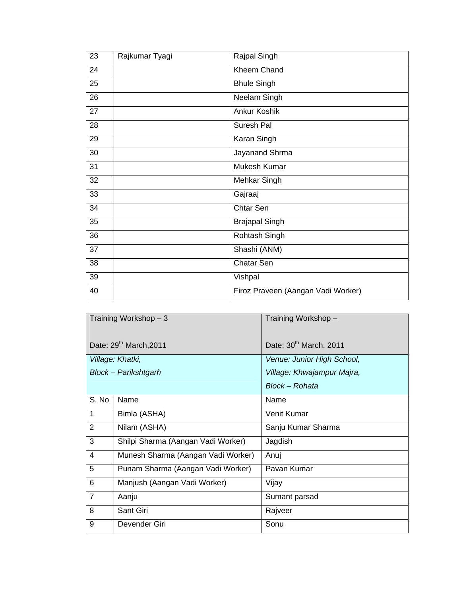| 23 | Rajkumar Tyagi | Rajpal Singh                       |
|----|----------------|------------------------------------|
| 24 |                | <b>Kheem Chand</b>                 |
| 25 |                | <b>Bhule Singh</b>                 |
| 26 |                | Neelam Singh                       |
| 27 |                | <b>Ankur Koshik</b>                |
| 28 |                | Suresh Pal                         |
| 29 |                | Karan Singh                        |
| 30 |                | Jayanand Shrma                     |
| 31 |                | Mukesh Kumar                       |
| 32 |                | Mehkar Singh                       |
| 33 |                | Gajraaj                            |
| 34 |                | Chtar Sen                          |
| 35 |                | <b>Brajapal Singh</b>              |
| 36 |                | Rohtash Singh                      |
| 37 |                | Shashi (ANM)                       |
| 38 |                | Chatar Sen                         |
| 39 |                | Vishpal                            |
| 40 |                | Firoz Praveen (Aangan Vadi Worker) |

|                | Training Workshop $-3$             | Training Workshop-                 |
|----------------|------------------------------------|------------------------------------|
|                | Date: 29 <sup>th</sup> March, 2011 | Date: 30 <sup>th</sup> March, 2011 |
|                | Village: Khatki,                   | Venue: Junior High School,         |
|                | Block - Parikshtgarh               | Village: Khwajampur Majra,         |
|                |                                    | Block – Rohata                     |
| S. No          | Name                               | Name                               |
| $\mathbf{1}$   | Bimla (ASHA)                       | Venit Kumar                        |
| 2              | Nilam (ASHA)                       | Sanju Kumar Sharma                 |
| 3              | Shilpi Sharma (Aangan Vadi Worker) | Jagdish                            |
| 4              | Munesh Sharma (Aangan Vadi Worker) | Anui                               |
| 5              | Punam Sharma (Aangan Vadi Worker)  | Pavan Kumar                        |
| 6              | Manjush (Aangan Vadi Worker)       | Vijay                              |
| $\overline{7}$ | Aanju                              | Sumant parsad                      |
| 8              | Sant Giri                          | Rajveer                            |
| 9              | Devender Giri                      | Sonu                               |